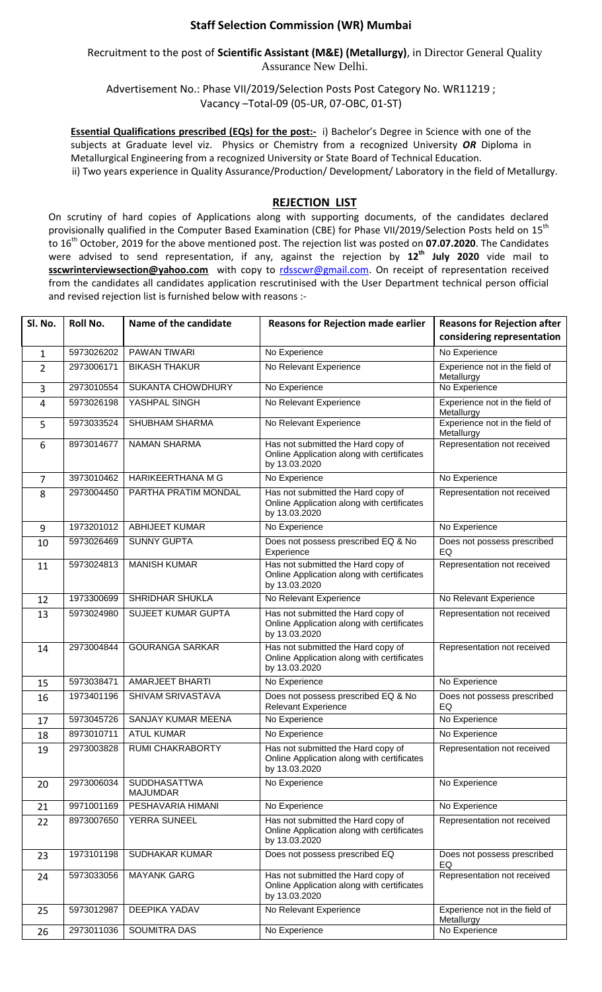## **Staff Selection Commission (WR) Mumbai**

Recruitment to the post of **Scientific Assistant (M&E) (Metallurgy)**, in Director General Quality Assurance New Delhi.

Advertisement No.: Phase VII/2019/Selection Posts Post Category No. WR11219 ; Vacancy –Total-09 (05-UR, 07-OBC, 01-ST)

**Essential Qualifications prescribed (EQs) for the post:-** i) Bachelor's Degree in Science with one of the subjects at Graduate level viz. Physics or Chemistry from a recognized University *OR* Diploma in Metallurgical Engineering from a recognized University or State Board of Technical Education. ii) Two years experience in Quality Assurance/Production/ Development/ Laboratory in the field of Metallurgy.

## **REJECTION LIST**

On scrutiny of hard copies of Applications along with supporting documents, of the candidates declared provisionally qualified in the Computer Based Examination (CBE) for Phase VII/2019/Selection Posts held on 15<sup>th</sup> to 16th October, 2019 for the above mentioned post. The rejection list was posted on **07.07.2020**. The Candidates were advised to send representation, if any, against the rejection by **12th July 2020** vide mail to sscwrinterviewsection@yahoo.com with copy to [rdsscwr@gmail.com.](mailto:rdsscwr@gmail.com) On receipt of representation received from the candidates all candidates application rescrutinised with the User Department technical person official and revised rejection list is furnished below with reasons :-

| Sl. No.        | Roll No.   | Name of the candidate                  | <b>Reasons for Rejection made earlier</b>                                                         | <b>Reasons for Rejection after</b>           |
|----------------|------------|----------------------------------------|---------------------------------------------------------------------------------------------------|----------------------------------------------|
|                |            |                                        |                                                                                                   | considering representation                   |
| $\mathbf{1}$   | 5973026202 | <b>PAWAN TIWARI</b>                    | No Experience                                                                                     | No Experience                                |
| $\overline{2}$ | 2973006171 | <b>BIKASH THAKUR</b>                   | No Relevant Experience                                                                            | Experience not in the field of<br>Metallurgy |
| 3              | 2973010554 | <b>SUKANTA CHOWDHURY</b>               | No Experience                                                                                     | No Experience                                |
| 4              | 5973026198 | YASHPAL SINGH                          | No Relevant Experience                                                                            | Experience not in the field of<br>Metallurgy |
| 5              | 5973033524 | SHUBHAM SHARMA                         | No Relevant Experience                                                                            | Experience not in the field of<br>Metallurgy |
| 6              | 8973014677 | <b>NAMAN SHARMA</b>                    | Has not submitted the Hard copy of<br>Online Application along with certificates<br>by 13.03.2020 | Representation not received                  |
| 7              | 3973010462 | HARIKEERTHANA M G                      | No Experience                                                                                     | No Experience                                |
| 8              | 2973004450 | PARTHA PRATIM MONDAL                   | Has not submitted the Hard copy of<br>Online Application along with certificates<br>by 13.03.2020 | Representation not received                  |
| 9              | 1973201012 | <b>ABHIJEET KUMAR</b>                  | No Experience                                                                                     | No Experience                                |
| 10             | 5973026469 | <b>SUNNY GUPTA</b>                     | Does not possess prescribed EQ & No<br>Experience                                                 | Does not possess prescribed<br>EQ            |
| 11             | 5973024813 | <b>MANISH KUMAR</b>                    | Has not submitted the Hard copy of<br>Online Application along with certificates<br>by 13.03.2020 | Representation not received                  |
| 12             | 1973300699 | SHRIDHAR SHUKLA                        | No Relevant Experience                                                                            | No Relevant Experience                       |
| 13             | 5973024980 | <b>SUJEET KUMAR GUPTA</b>              | Has not submitted the Hard copy of<br>Online Application along with certificates<br>by 13.03.2020 | Representation not received                  |
| 14             | 2973004844 | <b>GOURANGA SARKAR</b>                 | Has not submitted the Hard copy of<br>Online Application along with certificates<br>by 13.03.2020 | Representation not received                  |
| 15             | 5973038471 | <b>AMARJEET BHARTI</b>                 | No Experience                                                                                     | No Experience                                |
| 16             | 1973401196 | SHIVAM SRIVASTAVA                      | Does not possess prescribed EQ & No<br><b>Relevant Experience</b>                                 | Does not possess prescribed<br>EQ            |
| 17             | 5973045726 | SANJAY KUMAR MEENA                     | No Experience                                                                                     | No Experience                                |
| 18             | 8973010711 | <b>ATUL KUMAR</b>                      | No Experience                                                                                     | No Experience                                |
| 19             | 2973003828 | <b>RUMI CHAKRABORTY</b>                | Has not submitted the Hard copy of<br>Online Application along with certificates<br>by 13.03.2020 | Representation not received                  |
| 20             | 2973006034 | <b>SUDDHASATTWA</b><br><b>MAJUMDAR</b> | No Experience                                                                                     | No Experience                                |
| 21             | 9971001169 | PESHAVARIA HIMANI                      | No Experience                                                                                     | No Experience                                |
| 22             | 8973007650 | YERRA SUNEEL                           | Has not submitted the Hard copy of<br>Online Application along with certificates<br>by 13.03.2020 | Representation not received                  |
| 23             | 1973101198 | SUDHAKAR KUMAR                         | Does not possess prescribed EQ                                                                    | Does not possess prescribed<br>EQ            |
| 24             | 5973033056 | <b>MAYANK GARG</b>                     | Has not submitted the Hard copy of<br>Online Application along with certificates<br>by 13.03.2020 | Representation not received                  |
| 25             | 5973012987 | DEEPIKA YADAV                          | No Relevant Experience                                                                            | Experience not in the field of<br>Metallurgy |
| 26             | 2973011036 | SOUMITRA DAS                           | No Experience                                                                                     | No Experience                                |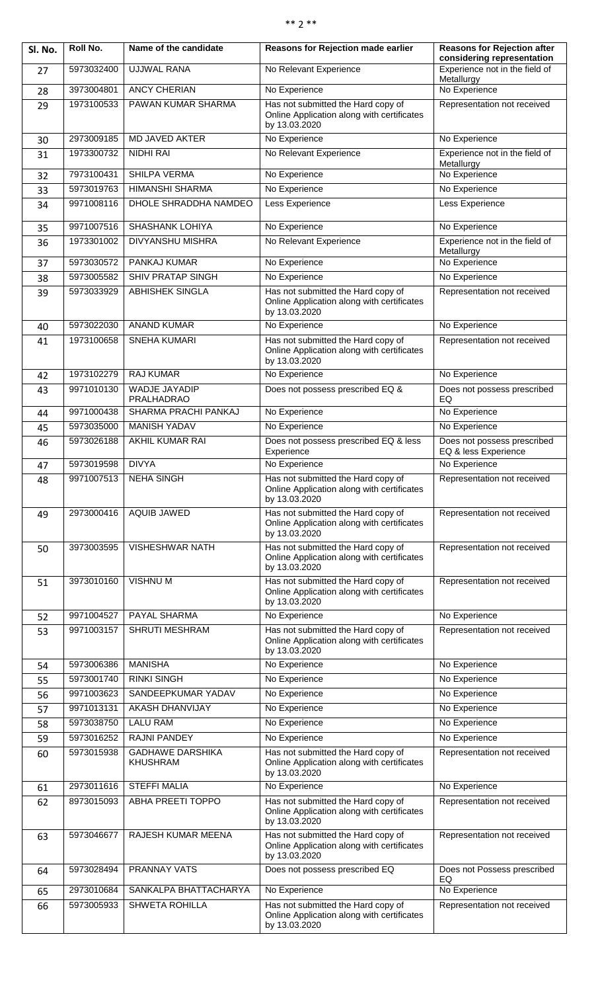| sk sk | ж ж |
|-------|-----|
|-------|-----|

| Sl. No. | Roll No.   | Name of the candidate                      | Reasons for Rejection made earlier                                                                | <b>Reasons for Rejection after</b><br>considering representation |
|---------|------------|--------------------------------------------|---------------------------------------------------------------------------------------------------|------------------------------------------------------------------|
| 27      | 5973032400 | <b>UJJWAL RANA</b>                         | No Relevant Experience                                                                            | Experience not in the field of<br>Metallurgy                     |
| 28      | 3973004801 | <b>ANCY CHERIAN</b>                        | No Experience                                                                                     | No Experience                                                    |
| 29      | 1973100533 | PAWAN KUMAR SHARMA                         | Has not submitted the Hard copy of<br>Online Application along with certificates<br>by 13.03.2020 | Representation not received                                      |
| 30      | 2973009185 | MD JAVED AKTER                             | No Experience                                                                                     | No Experience                                                    |
| 31      | 1973300732 | NIDHI RAI                                  | No Relevant Experience                                                                            | Experience not in the field of<br>Metallurgy                     |
| 32      | 7973100431 | SHILPA VERMA                               | No Experience                                                                                     | No Experience                                                    |
| 33      | 5973019763 | <b>HIMANSHI SHARMA</b>                     | No Experience                                                                                     | No Experience                                                    |
| 34      | 9971008116 | DHOLE SHRADDHA NAMDEO                      | Less Experience                                                                                   | Less Experience                                                  |
| 35      | 9971007516 | <b>SHASHANK LOHIYA</b>                     | No Experience                                                                                     | No Experience                                                    |
| 36      | 1973301002 | DIVYANSHU MISHRA                           | No Relevant Experience                                                                            | Experience not in the field of<br>Metallurgy                     |
| 37      | 5973030572 | <b>PANKAJ KUMAR</b>                        | No Experience                                                                                     | No Experience                                                    |
| 38      | 5973005582 | <b>SHIV PRATAP SINGH</b>                   | No Experience                                                                                     | No Experience                                                    |
| 39      | 5973033929 | <b>ABHISHEK SINGLA</b>                     | Has not submitted the Hard copy of<br>Online Application along with certificates<br>by 13.03.2020 | Representation not received                                      |
| 40      | 5973022030 | <b>ANAND KUMAR</b>                         | No Experience                                                                                     | No Experience                                                    |
| 41      | 1973100658 | <b>SNEHA KUMARI</b>                        | Has not submitted the Hard copy of<br>Online Application along with certificates<br>by 13.03.2020 | Representation not received                                      |
| 42      | 1973102279 | <b>RAJ KUMAR</b>                           | No Experience                                                                                     | No Experience                                                    |
| 43      | 9971010130 | <b>WADJE JAYADIP</b><br>PRALHADRAO         | Does not possess prescribed EQ &                                                                  | Does not possess prescribed<br>EQ                                |
| 44      | 9971000438 | SHARMA PRACHI PANKAJ                       | No Experience                                                                                     | No Experience                                                    |
| 45      | 5973035000 | <b>MANISH YADAV</b>                        | No Experience                                                                                     | No Experience                                                    |
| 46      | 5973026188 | AKHIL KUMAR RAI                            | Does not possess prescribed EQ & less<br>Experience                                               | Does not possess prescribed<br>EQ & less Experience              |
| 47      | 5973019598 | <b>DIVYA</b>                               | No Experience                                                                                     | No Experience                                                    |
| 48      | 9971007513 | <b>NEHA SINGH</b>                          | Has not submitted the Hard copy of<br>Online Application along with certificates<br>by 13.03.2020 | Representation not received                                      |
| 49      | 2973000416 | AQUIB JAWED                                | Has not submitted the Hard copy of<br>Online Application along with certificates<br>by 13.03.2020 | Representation not received                                      |
| 50      | 3973003595 | VISHESHWAR NATH                            | Has not submitted the Hard copy of<br>Online Application along with certificates<br>by 13.03.2020 | Representation not received                                      |
| 51      | 3973010160 | <b>VISHNUM</b>                             | Has not submitted the Hard copy of<br>Online Application along with certificates<br>by 13.03.2020 | Representation not received                                      |
| 52      | 9971004527 | PAYAL SHARMA                               | No Experience                                                                                     | No Experience                                                    |
| 53      | 9971003157 | <b>SHRUTI MESHRAM</b>                      | Has not submitted the Hard copy of<br>Online Application along with certificates<br>by 13.03.2020 | Representation not received                                      |
| 54      | 5973006386 | <b>MANISHA</b>                             | No Experience                                                                                     | No Experience                                                    |
| 55      | 5973001740 | <b>RINKI SINGH</b>                         | No Experience                                                                                     | No Experience                                                    |
| 56      | 9971003623 | SANDEEPKUMAR YADAV                         | No Experience                                                                                     | No Experience                                                    |
| 57      | 9971013131 | AKASH DHANVIJAY                            | No Experience                                                                                     | No Experience                                                    |
| 58      | 5973038750 | <b>LALU RAM</b>                            | No Experience                                                                                     | No Experience                                                    |
| 59      | 5973016252 | RAJNI PANDEY                               | No Experience                                                                                     | No Experience                                                    |
| 60      | 5973015938 | <b>GADHAWE DARSHIKA</b><br><b>KHUSHRAM</b> | Has not submitted the Hard copy of<br>Online Application along with certificates<br>by 13.03.2020 | Representation not received                                      |
| 61      | 2973011616 | <b>STEFFI MALIA</b>                        | No Experience                                                                                     | No Experience                                                    |
| 62      | 8973015093 | ABHA PREETI TOPPO                          | Has not submitted the Hard copy of<br>Online Application along with certificates<br>by 13.03.2020 | Representation not received                                      |
| 63      | 5973046677 | RAJESH KUMAR MEENA                         | Has not submitted the Hard copy of<br>Online Application along with certificates<br>by 13.03.2020 | Representation not received                                      |
| 64      | 5973028494 | PRANNAY VATS                               | Does not possess prescribed EQ                                                                    | Does not Possess prescribed<br>EQ                                |
| 65      | 2973010684 | SANKALPA BHATTACHARYA                      | No Experience                                                                                     | No Experience                                                    |
| 66      | 5973005933 | <b>SHWETA ROHILLA</b>                      | Has not submitted the Hard copy of<br>Online Application along with certificates<br>by 13.03.2020 | Representation not received                                      |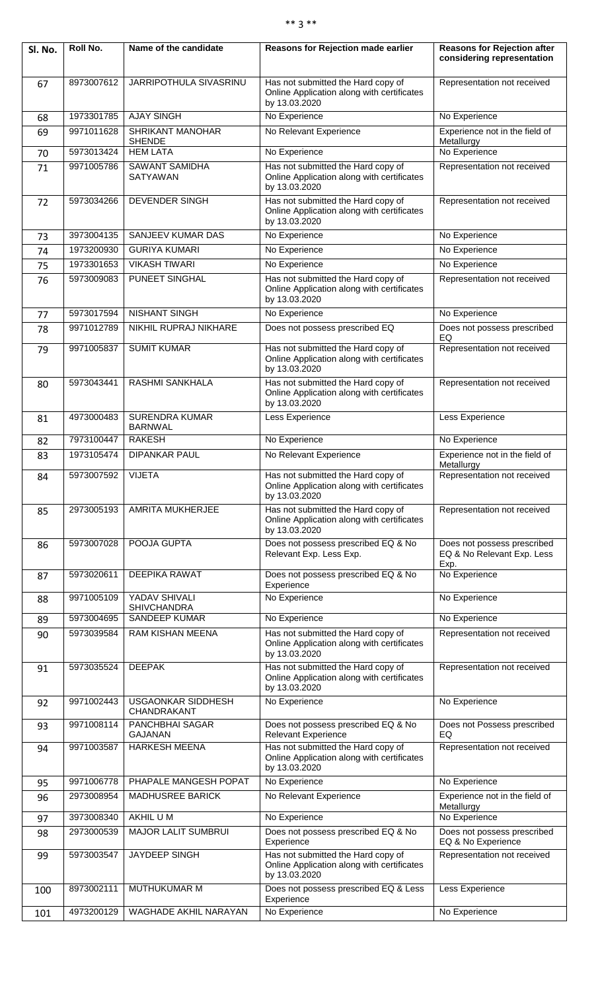## \*\* 3 \*\*

| Sl. No. | Roll No.   | Name of the candidate                    | Reasons for Rejection made earlier                                                                | <b>Reasons for Rejection after</b><br>considering representation  |
|---------|------------|------------------------------------------|---------------------------------------------------------------------------------------------------|-------------------------------------------------------------------|
| 67      | 8973007612 | JARRIPOTHULA SIVASRINU                   | Has not submitted the Hard copy of<br>Online Application along with certificates<br>by 13.03.2020 | Representation not received                                       |
| 68      | 1973301785 | <b>AJAY SINGH</b>                        | No Experience                                                                                     | No Experience                                                     |
| 69      | 9971011628 | SHRIKANT MANOHAR<br><b>SHENDE</b>        | No Relevant Experience                                                                            | Experience not in the field of<br>Metallurgy                      |
| 70      | 5973013424 | <b>HEM LATA</b>                          | No Experience                                                                                     | No Experience                                                     |
| 71      | 9971005786 | <b>SAWANT SAMIDHA</b><br>SATYAWAN        | Has not submitted the Hard copy of<br>Online Application along with certificates<br>by 13.03.2020 | Representation not received                                       |
| 72      | 5973034266 | DEVENDER SINGH                           | Has not submitted the Hard copy of<br>Online Application along with certificates<br>by 13.03.2020 | Representation not received                                       |
| 73      | 3973004135 | SANJEEV KUMAR DAS                        | No Experience                                                                                     | No Experience                                                     |
| 74      | 1973200930 | <b>GURIYA KUMARI</b>                     | No Experience                                                                                     | No Experience                                                     |
| 75      | 1973301653 | <b>VIKASH TIWARI</b>                     | No Experience                                                                                     | No Experience                                                     |
| 76      | 5973009083 | PUNEET SINGHAL                           | Has not submitted the Hard copy of<br>Online Application along with certificates<br>by 13.03.2020 | Representation not received                                       |
| 77      | 5973017594 | <b>NISHANT SINGH</b>                     | No Experience                                                                                     | No Experience                                                     |
| 78      | 9971012789 | NIKHIL RUPRAJ NIKHARE                    | Does not possess prescribed EQ                                                                    | Does not possess prescribed                                       |
| 79      | 9971005837 | <b>SUMIT KUMAR</b>                       | Has not submitted the Hard copy of<br>Online Application along with certificates<br>by 13.03.2020 | EQ<br>Representation not received                                 |
| 80      | 5973043441 | <b>RASHMI SANKHALA</b>                   | Has not submitted the Hard copy of<br>Online Application along with certificates<br>by 13.03.2020 | Representation not received                                       |
| 81      | 4973000483 | <b>SURENDRA KUMAR</b><br><b>BARNWAL</b>  | Less Experience                                                                                   | Less Experience                                                   |
| 82      | 7973100447 | <b>RAKESH</b>                            | No Experience                                                                                     | No Experience                                                     |
| 83      | 1973105474 | <b>DIPANKAR PAUL</b>                     | No Relevant Experience                                                                            | Experience not in the field of<br>Metallurgy                      |
| 84      | 5973007592 | <b>VIJETA</b>                            | Has not submitted the Hard copy of<br>Online Application along with certificates<br>by 13.03.2020 | Representation not received                                       |
| 85      | 2973005193 | AMRITA MUKHERJEE                         | Has not submitted the Hard copy of<br>Online Application along with certificates<br>by 13.03.2020 | Representation not received                                       |
| 86      | 5973007028 | POOJA GUPTA                              | Does not possess prescribed EQ & No<br>Relevant Exp. Less Exp.                                    | Does not possess prescribed<br>EQ & No Relevant Exp. Less<br>Exp. |
| 87      | 5973020611 | <b>DEEPIKA RAWAT</b>                     | Does not possess prescribed EQ & No<br>Experience                                                 | No Experience                                                     |
| 88      | 9971005109 | YADAV SHIVALI                            | No Experience                                                                                     | No Experience                                                     |
| 89      | 5973004695 | <b>SHIVCHANDRA</b><br>SANDEEP KUMAR      | No Experience                                                                                     | No Experience                                                     |
| 90      | 5973039584 | RAM KISHAN MEENA                         | Has not submitted the Hard copy of<br>Online Application along with certificates<br>by 13.03.2020 | Representation not received                                       |
| 91      | 5973035524 | <b>DEEPAK</b>                            | Has not submitted the Hard copy of<br>Online Application along with certificates<br>by 13.03.2020 | Representation not received                                       |
| 92      | 9971002443 | <b>USGAONKAR SIDDHESH</b><br>CHANDRAKANT | No Experience                                                                                     | No Experience                                                     |
| 93      | 9971008114 | PANCHBHAI SAGAR<br><b>GAJANAN</b>        | Does not possess prescribed EQ & No<br><b>Relevant Experience</b>                                 | Does not Possess prescribed<br>EQ                                 |
| 94      | 9971003587 | <b>HARKESH MEENA</b>                     | Has not submitted the Hard copy of<br>Online Application along with certificates<br>by 13.03.2020 | Representation not received                                       |
| 95      | 9971006778 | PHAPALE MANGESH POPAT                    | No Experience                                                                                     | No Experience                                                     |
| 96      | 2973008954 | <b>MADHUSREE BARICK</b>                  | No Relevant Experience                                                                            | Experience not in the field of<br>Metallurgy                      |
| 97      | 3973008340 | AKHIL UM                                 | No Experience                                                                                     | No Experience                                                     |
| 98      | 2973000539 | <b>MAJOR LALIT SUMBRUI</b>               | Does not possess prescribed EQ & No<br>Experience                                                 | Does not possess prescribed<br>EQ & No Experience                 |
| 99      | 5973003547 | JAYDEEP SINGH                            | Has not submitted the Hard copy of<br>Online Application along with certificates<br>by 13.03.2020 | Representation not received                                       |
| 100     | 8973002111 | <b>MUTHUKUMAR M</b>                      | Does not possess prescribed EQ & Less<br>Experience                                               | Less Experience                                                   |
| 101     | 4973200129 | <b>WAGHADE AKHIL NARAYAN</b>             | No Experience                                                                                     | No Experience                                                     |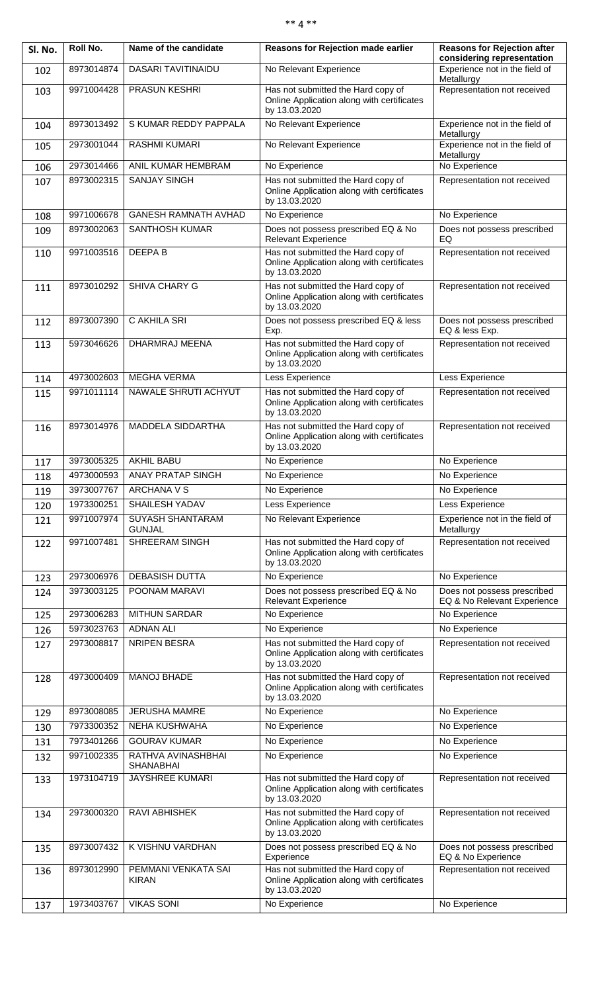## \*\* 4 \*\*

| Sl. No. | Roll No.   | Name of the candidate                    | <b>Reasons for Rejection made earlier</b>                                                         | <b>Reasons for Rejection after</b><br>considering representation |
|---------|------------|------------------------------------------|---------------------------------------------------------------------------------------------------|------------------------------------------------------------------|
| 102     | 8973014874 | DASARI TAVITINAIDU                       | No Relevant Experience                                                                            | Experience not in the field of<br>Metallurgy                     |
| 103     | 9971004428 | <b>PRASUN KESHRI</b>                     | Has not submitted the Hard copy of<br>Online Application along with certificates<br>by 13.03.2020 | Representation not received                                      |
| 104     | 8973013492 | S KUMAR REDDY PAPPALA                    | No Relevant Experience                                                                            | Experience not in the field of                                   |
| 105     | 2973001044 | <b>RASHMI KUMARI</b>                     | No Relevant Experience                                                                            | Metallurgy<br>Experience not in the field of                     |
| 106     | 2973014466 | ANIL KUMAR HEMBRAM                       | No Experience                                                                                     | Metallurgy<br>No Experience                                      |
| 107     | 8973002315 | <b>SANJAY SINGH</b>                      | Has not submitted the Hard copy of<br>Online Application along with certificates                  | Representation not received                                      |
| 108     | 9971006678 | <b>GANESH RAMNATH AVHAD</b>              | by 13.03.2020<br>No Experience                                                                    | No Experience                                                    |
| 109     | 8973002063 | SANTHOSH KUMAR                           | Does not possess prescribed EQ & No<br><b>Relevant Experience</b>                                 | Does not possess prescribed<br>EQ                                |
| 110     | 9971003516 | <b>DEEPAB</b>                            | Has not submitted the Hard copy of<br>Online Application along with certificates<br>by 13.03.2020 | Representation not received                                      |
| 111     | 8973010292 | SHIVA CHARY G                            | Has not submitted the Hard copy of<br>Online Application along with certificates<br>by 13.03.2020 | Representation not received                                      |
| 112     | 8973007390 | C AKHILA SRI                             | Does not possess prescribed EQ & less<br>Exp.                                                     | Does not possess prescribed<br>EQ & less Exp.                    |
| 113     | 5973046626 | DHARMRAJ MEENA                           | Has not submitted the Hard copy of<br>Online Application along with certificates<br>by 13.03.2020 | Representation not received                                      |
| 114     | 4973002603 | <b>MEGHA VERMA</b>                       | Less Experience                                                                                   | Less Experience                                                  |
| 115     | 9971011114 | NAWALE SHRUTI ACHYUT                     | Has not submitted the Hard copy of<br>Online Application along with certificates<br>by 13.03.2020 | Representation not received                                      |
| 116     | 8973014976 | MADDELA SIDDARTHA                        | Has not submitted the Hard copy of<br>Online Application along with certificates<br>by 13.03.2020 | Representation not received                                      |
| 117     | 3973005325 | <b>AKHIL BABU</b>                        | No Experience                                                                                     | No Experience                                                    |
| 118     | 4973000593 | <b>ANAY PRATAP SINGH</b>                 | No Experience                                                                                     | No Experience                                                    |
| 119     | 3973007767 | <b>ARCHANA V S</b>                       | No Experience                                                                                     | No Experience                                                    |
| 120     | 1973300251 | SHAILESH YADAV                           | Less Experience                                                                                   | Less Experience                                                  |
| 121     | 9971007974 | <b>SUYASH SHANTARAM</b><br><b>GUNJAL</b> | No Relevant Experience                                                                            | Experience not in the field of<br>Metallurgy                     |
| 122     | 9971007481 | <b>SHREERAM SINGH</b>                    | Has not submitted the Hard copy of<br>Online Application along with certificates<br>by 13.03.2020 | Representation not received                                      |
| 123     | 2973006976 | <b>DEBASISH DUTTA</b>                    | No Experience                                                                                     | No Experience                                                    |
| 124     | 3973003125 | POONAM MARAVI                            | Does not possess prescribed EQ & No<br>Relevant Experience                                        | Does not possess prescribed<br>EQ & No Relevant Experience       |
| 125     | 2973006283 | <b>MITHUN SARDAR</b>                     | No Experience                                                                                     | No Experience                                                    |
| 126     | 5973023763 | <b>ADNAN ALI</b>                         | No Experience                                                                                     | No Experience                                                    |
| 127     | 2973008817 | NRIPEN BESRA                             | Has not submitted the Hard copy of<br>Online Application along with certificates<br>by 13.03.2020 | Representation not received                                      |
| 128     | 4973000409 | MANOJ BHADE                              | Has not submitted the Hard copy of<br>Online Application along with certificates<br>by 13.03.2020 | Representation not received                                      |
| 129     | 8973008085 | <b>JERUSHA MAMRE</b>                     | No Experience                                                                                     | No Experience                                                    |
| 130     | 7973300352 | NEHA KUSHWAHA                            | No Experience                                                                                     | No Experience                                                    |
| 131     | 7973401266 | <b>GOURAV KUMAR</b>                      | No Experience                                                                                     | No Experience                                                    |
| 132     | 9971002335 | RATHVA AVINASHBHAI<br><b>SHANABHAI</b>   | No Experience                                                                                     | No Experience                                                    |
| 133     | 1973104719 | JAYSHREE KUMARI                          | Has not submitted the Hard copy of<br>Online Application along with certificates<br>by 13.03.2020 | Representation not received                                      |
| 134     | 2973000320 | RAVI ABHISHEK                            | Has not submitted the Hard copy of<br>Online Application along with certificates<br>by 13.03.2020 | Representation not received                                      |
| 135     | 8973007432 | K VISHNU VARDHAN                         | Does not possess prescribed EQ & No<br>Experience                                                 | Does not possess prescribed<br>EQ & No Experience                |
| 136     | 8973012990 | PEMMANI VENKATA SAI<br><b>KIRAN</b>      | Has not submitted the Hard copy of<br>Online Application along with certificates<br>by 13.03.2020 | Representation not received                                      |
| 137     | 1973403767 | <b>VIKAS SONI</b>                        | No Experience                                                                                     | No Experience                                                    |